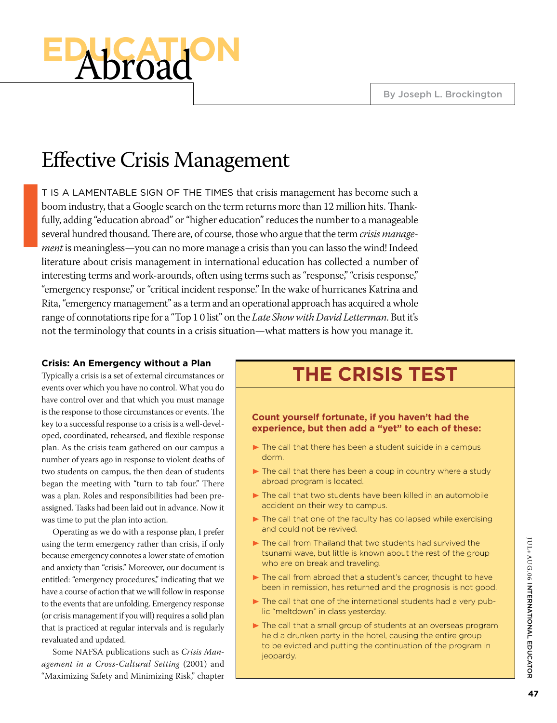# **32C1/B7=<** Abroad

### Effective Crisis Management

T IS A LAMENTABLE SIGN OF THE TIMES that crisis management has become such a boom industry, that a Google search on the term returns more than 12 million hits. Thankfully, adding "education abroad" or "higher education" reduces the number to a manageable several hundred thousand. There are, of course, those who argue that the term *crisis management* is meaningless—you can no more manage a crisis than you can lasso the wind! Indeed literature about crisis management in international education has collected a number of interesting terms and work-arounds, often using terms such as "response," "crisis response," "emergency response," or "critical incident response." In the wake of hurricanes Katrina and Rita, "emergency management" as a term and an operational approach has acquired a whole range of connotations ripe for a "Top 1 0 list" on the *Late Show with David Letterman*. But it's not the terminology that counts in a crisis situation—what matters is how you manage it. **1**<br>**1**<br>**1**<br>**1**<br>**1**<br>**1**<br>**1** 

### **Crisis: An Emergency without a Plan**

Typically a crisis is a set of external circumstances or events over which you have no control. What you do have control over and that which you must manage is the response to those circumstances or events. The key to a successful response to a crisis is a well-developed, coordinated, rehearsed, and flexible response plan. As the crisis team gathered on our campus a number of years ago in response to violent deaths of two students on campus, the then dean of students began the meeting with "turn to tab four." There was a plan. Roles and responsibilities had been preassigned. Tasks had been laid out in advance. Now it was time to put the plan into action.

Operating as we do with a response plan, I prefer using the term emergency rather than crisis, if only because emergency connotes a lower state of emotion and anxiety than "crisis." Moreover, our document is entitled: "emergency procedures," indicating that we have a course of action that we will follow in response to the events that are unfolding. Emergency response (or crisis management if you will) requires a solid plan that is practiced at regular intervals and is regularly revaluated and updated.

Some NAFSA publications such as *Crisis Management in a Cross-Cultural Setting* (2001) and "Maximizing Safety and Minimizing Risk," chapter

### **THE CRISIS TEST**

### Count yourself fortunate, if you haven't had the experience, but then add a "yet" to each of these:

- $\blacktriangleright$  The call that there has been a student suicide in a campus  $d$ orm
- $\blacktriangleright$  The call that there has been a coup in country where a study abroad program is located.
- $\blacktriangleright$  The call that two students have been killed in an automobile accident on their way to campus.
- $\blacktriangleright$  The call that one of the faculty has collapsed while exercising and could not be revived.
- $\blacktriangleright$  The call from Thailand that two students had survived the tsunami wave, but little is known about the rest of the group who are on break and traveling.
- $\blacktriangleright$  The call from abroad that a student's cancer, thought to have been in remission, has returned and the prognosis is not good.
- $\blacktriangleright$  The call that one of the international students had a very public "meltdown" in class yesterday.
- $\blacktriangleright$  The call that a small group of students at an overseas program held a drunken party in the hotel, causing the entire group to be evicted and putting the continuation of the program in jeopardy.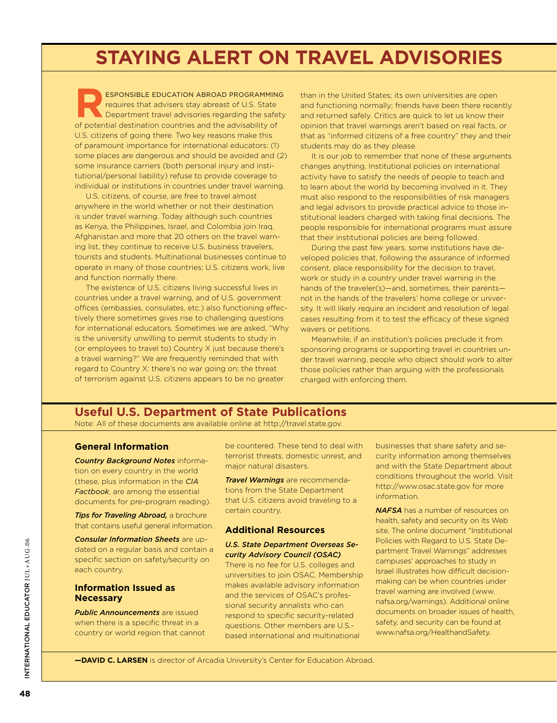### **STAYING ALERT ON TRAVEL ADVISORIES**

ESPONSIBLE EDUCATION ABROAD PROGRAMMING<br>requires that advisers stay abreast of U.S. State<br>Department travel advisories regarding the safety<br>of potential destination countries and the advisability of requires that advisers stay abreast of U.S. State Department travel advisories regarding the safety U.S. citizens of going there. Two key reasons make this of paramount importance for international educators:  $(1)$ some places are dangerous and should be avoided and (2) some insurance carriers (both personal injury and institutional/personal liability) refuse to provide coverage to individual or institutions in countries under travel warning.

U.S. citizens, of course, are free to travel almost anywhere in the world whether or not their destination is under travel warning. Today although such countries as Kenya, the Philippines, Israel, and Colombia join Iraq, Afghanistan and more that 20 others on the travel warning list, they continue to receive U.S. business travelers, tourists and students. Multinational businesses continue to operate in many of those countries; U.S. citizens work, live and function normally there.

The existence of U.S. citizens living successful lives in countries under a travel warning, and of U.S. government offices (embassies, consulates, etc.) also functioning effectively there sometimes gives rise to challenging questions for international educators. Sometimes we are asked, "Why is the university unwilling to permit students to study in (or employees to travel to) Country X just because there's a travel warning?" We are frequently reminded that with regard to Country X: there's no war going on; the threat of terrorism against U.S. citizens appears to be no greater

than in the United States; its own universities are open and functioning normally; friends have been there recently and returned safely. Critics are quick to let us know their opinion that travel warnings aren't based on real facts, or that as "informed citizens of a free country" they and their students may do as they please.

It is our job to remember that none of these arguments changes anything. Institutional policies on international activity have to satisfy the needs of people to teach and to learn about the world by becoming involved in it. They must also respond to the responsibilities of risk managers and legal advisors to provide practical advice to those institutional leaders charged with taking final decisions. The people responsible for international programs must assure that their institutional policies are being followed.

During the past few years, some institutions have developed policies that, following the assurance of informed consent, place responsibility for the decision to travel, work or study in a country under travel warning in the hands of the traveler(s)—and, sometimes, their parents not in the hands of the travelers' home college or university. It will likely require an incident and resolution of legal cases resulting from it to test the efficacy of these signed wavers or petitions.

Meanwhile, if an institution's policies preclude it from sponsoring programs or supporting travel in countries under travel warning, people who object should work to alter those policies rather than arguing with the professionals charged with enforcing them.

### **Useful U.S. Department of State Publications**

Note: All of these documents are available online at http://travel.state.gov.

#### **General Information**

*Country Background Notes informa*tion on every country in the world (these, plus information in the CIA Factbook, are among the essential documents for pre-program reading).

**Tips for Traveling Abroad, a brochure** that contains useful general information.

*Consular Information Sheets are up*dated on a regular basis and contain a specific section on safety/security on each country.

#### **Information Issued as Necessary**

**Public Announcements** are issued when there is a specific threat in a country or world region that cannot be countered. These tend to deal with terrorist threats, domestic unrest, and major natural disasters.

*Travel Warnings* are recommendations from the State Department that U.S. citizens avoid traveling to a certain country.

#### **Additional Resources**

#### **U.S. State Department Overseas Se-***Curity Advisory Council (OSAC)*

There is no fee for U.S. colleges and universities to join OSAC. Membership makes available advisory information and the services of OSAC's professional security annalists who can respond to specific security-related questions. Other members are U.S.based international and multinational

businesses that share safety and security information among themselves and with the State Department about conditions throughout the world. Visit http://www.osac.state.gov for more information.

*NAFSA* has a number of resources on health, safety and security on its Web site. The online document "Institutional Policies with Regard to U.S. State Department Travel Warnings" addresses campuses' approaches to study in Israel illustrates how difficult decision $m$ aking can be when countries under travel warning are involved (www. nafsa.org/warnings). Additional online documents on broader issues of health, safety, and security can be found at www.nafsa.org/HealthandSafety.

**-DAVID C. LARSEN** is director of Arcadia University's Center for Education Abroad.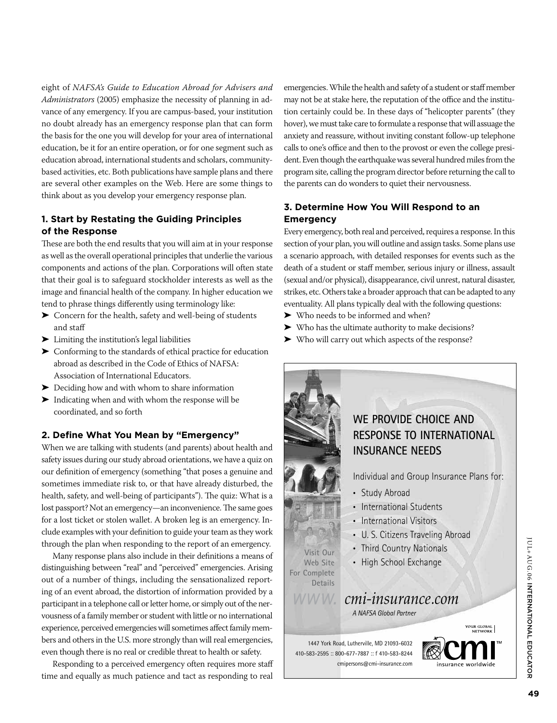eight of *NAFSA's Guide to Education Abroad for Advisers and Administrators* (2005) emphasize the necessity of planning in advance of any emergency. If you are campus-based, your institution no doubt already has an emergency response plan that can form the basis for the one you will develop for your area of international education, be it for an entire operation, or for one segment such as education abroad, international students and scholars, communitybased activities, etc. Both publications have sample plans and there are several other examples on the Web. Here are some things to think about as you develop your emergency response plan.

### **1. Start by Restating the Guiding Principles of the Response**

These are both the end results that you will aim at in your response as well as the overall operational principles that underlie the various components and actions of the plan. Corporations will often state that their goal is to safeguard stockholder interests as well as the image and financial health of the company. In higher education we tend to phrase things differently using terminology like:

- $\triangleright$  Concern for the health, safety and well-being of students and staff
- $\blacktriangleright$  Limiting the institution's legal liabilities
- $\triangleright$  Conforming to the standards of ethical practice for education abroad as described in the Code of Ethics of NAFSA: Association of International Educators.
- $\blacktriangleright$  Deciding how and with whom to share information
- $\blacktriangleright$  Indicating when and with whom the response will be coordinated, and so forth

### 2. Define What You Mean by "Emergency"

When we are talking with students (and parents) about health and safety issues during our study abroad orientations, we have a quiz on our definition of emergency (something "that poses a genuine and sometimes immediate risk to, or that have already disturbed, the health, safety, and well-being of participants"). The quiz: What is a lost passport? Not an emergency—an inconvenience. The same goes for a lost ticket or stolen wallet. A broken leg is an emergency. Include examples with your definition to guide your team as they work through the plan when responding to the report of an emergency.

Many response plans also include in their definitions a means of distinguishing between "real" and "perceived" emergencies. Arising out of a number of things, including the sensationalized reporting of an event abroad, the distortion of information provided by a participant in a telephone call or letter home, or simply out of the nervousness of a family member or student with little or no international experience, perceived emergencies will sometimes affect family members and others in the U.S. more strongly than will real emergencies, even though there is no real or credible threat to health or safety.

Responding to a perceived emergency often requires more staff time and equally as much patience and tact as responding to real emergencies. While the health and safety of a student or staff member may not be at stake here, the reputation of the office and the institution certainly could be. In these days of "helicopter parents" (they hover), we must take care to formulate a response that will assuage the anxiety and reassure, without inviting constant follow-up telephone calls to one's office and then to the provost or even the college president. Even though the earthquake was several hundred miles from the program site, calling the program director before returning the call to the parents can do wonders to quiet their nervousness.

### **3. Determine How You Will Respond to an Emergency**

Every emergency, both real and perceived, requires a response. In this section of your plan, you will outline and assign tasks. Some plans use a scenario approach, with detailed responses for events such as the death of a student or staff member, serious injury or illness, assault (sexual and/or physical), disappearance, civil unrest, natural disaster, strikes, etc. Others take a broader approach that can be adapted to any eventuality. All plans typically deal with the following questions:

- ► Who needs to be informed and when?
- $\triangleright$  Who has the ultimate authority to make decisions?
- ► Who will carry out which aspects of the response?

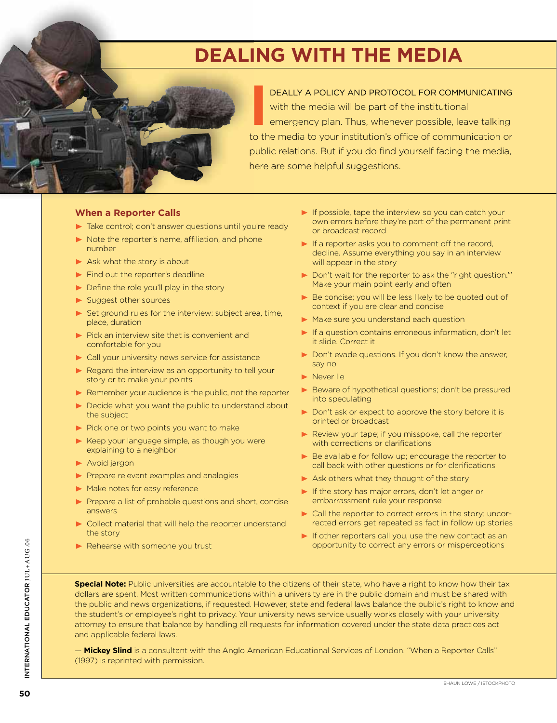### **DEALING WITH THE MEDIA**



#### **When a Reporter Calls**

- $\blacktriangleright$  Take control; don't answer questions until you're ready
- $\blacktriangleright$  Note the reporter's name, affiliation, and phone number
- $\blacktriangleright$  Ask what the story is about
- $\blacktriangleright$  Find out the reporter's deadline
- $\triangleright$  Define the role you'll play in the story
- $\blacktriangleright$  Suggest other sources
- $\blacktriangleright$  Set ground rules for the interview: subject area, time, place, duration
- $\blacktriangleright$  Pick an interview site that is convenient and comfortable for you
- $\triangleright$  Call your university news service for assistance
- $\blacktriangleright$  Regard the interview as an opportunity to tell your story or to make your points
- $\blacktriangleright$  Remember your audience is the public, not the reporter
- $\triangleright$  Decide what you want the public to understand about the subject
- $\blacktriangleright$  Pick one or two points you want to make
- $\blacktriangleright$  Keep your language simple, as though you were explaining to a neighbor
- $\blacktriangleright$  Avoid jargon
- Prepare relevant examples and analogies
- $\blacktriangleright$  Make notes for easy reference
- $\triangleright$  Prepare a list of probable questions and short, concise answers
- $\triangleright$  Collect material that will help the reporter understand the story
- $\blacktriangleright$  Rehearse with someone you trust
- $\blacktriangleright$  If possible, tape the interview so you can catch your own errors before they're part of the permanent print or broadcast record
- $\blacktriangleright$  If a reporter asks you to comment off the record. decline. Assume everything you say in an interview will appear in the story
- $\triangleright$  Don't wait for the reporter to ask the "right question." Make your main point early and often
- $\blacktriangleright$  Be concise; you will be less likely to be quoted out of context if you are clear and concise
- $\blacktriangleright$  Make sure you understand each question
- $\blacktriangleright$  If a question contains erroneous information, don't let it slide. Correct it
- $\triangleright$  Don't evade questions. If you don't know the answer, say no
- $\blacktriangleright$  Never lie
- $\blacktriangleright$  Beware of hypothetical questions; don't be pressured into speculating
- $\triangleright$  Don't ask or expect to approve the story before it is printed or broadcast
- $\blacktriangleright$  Review your tape; if you misspoke, call the reporter with corrections or clarifications
- $\triangleright$  Be available for follow up; encourage the reporter to call back with other questions or for clarifications
- $\blacktriangleright$  Ask others what they thought of the story
- $\blacktriangleright$  If the story has major errors, don't let anger or embarrassment rule your response
- $\triangleright$  Call the reporter to correct errors in the story; uncorrected errors get repeated as fact in follow up stories
- $\blacktriangleright$  If other reporters call you, use the new contact as an opportunity to correct any errors or misperceptions

**Special Note:** Public universities are accountable to the citizens of their state, who have a right to know how their tax dollars are spent. Most written communications within a university are in the public domain and must be shared with the public and news organizations, if requested. However, state and federal laws balance the public's right to know and the student's or employee's right to privacy. Your university news service usually works closely with your university attorney to ensure that balance by handling all requests for information covered under the state data practices act and applicable federal laws.

 $\sim$  **Mickey Slind** is a consultant with the Anglo American Educational Services of London. "When a Reporter Calls" (1997) is reprinted with permission.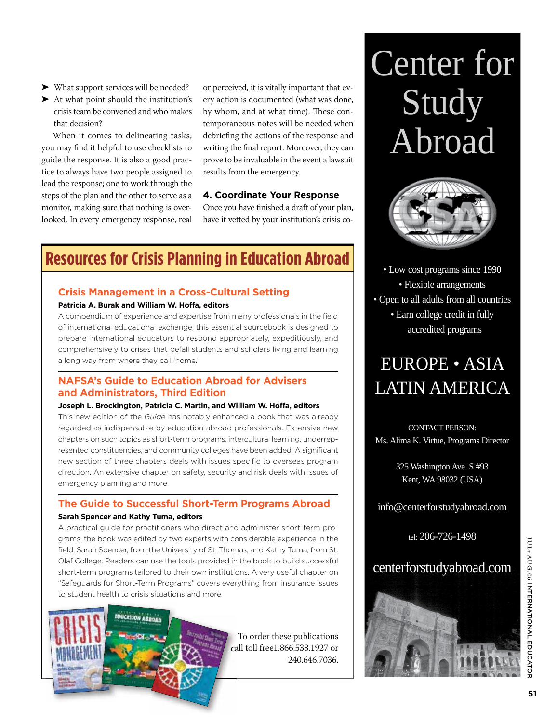- ▶ What support services will be needed?
- ▶ At what point should the institution's crisis team be convened and who makes that decision?

When it comes to delineating tasks, you may find it helpful to use checklists to guide the response. It is also a good practice to always have two people assigned to lead the response; one to work through the steps of the plan and the other to serve as a monitor, making sure that nothing is overlooked. In every emergency response, real

or perceived, it is vitally important that every action is documented (what was done, by whom, and at what time). These contemporaneous notes will be needed when debriefing the actions of the response and writing the final report. Moreover, they can prove to be invaluable in the event a lawsuit results from the emergency.

### **4. Coordinate Your Response**

Once you have finished a draft of your plan, have it vetted by your institution's crisis co-

### **Resources for Crisis Planning in Education Abroad**

### **Crisis Management in a Cross-Cultural Setting**

#### Patricia A. Burak and William W. Hoffa, editors

A compendium of experience and expertise from many professionals in the field of international educational exchange, this essential sourcebook is designed to prepare international educators to respond appropriately, expeditiously, and comprehensively to crises that befall students and scholars living and learning a long way from where they call 'home.'

### **NAFSA's Guide to Education Abroad for Advisers and Administrators, Third Edition**

#### Joseph L. Brockington, Patricia C. Martin, and William W. Hoffa, editors

This new edition of the *Guide* has notably enhanced a book that was already regarded as indispensable by education abroad professionals. Extensive new chapters on such topics as short-term programs, intercultural learning, underrepresented constituencies, and community colleges have been added. A significant new section of three chapters deals with issues specific to overseas program direction. An extensive chapter on safety, security and risk deals with issues of emergency planning and more.

### **The Guide to Successful Short-Term Programs Abroad**

### **Sarah Spencer and Kathy Tuma, editors**

A practical guide for practitioners who direct and administer short-term programs, the book was edited by two experts with considerable experience in the field, Sarah Spencer, from the University of St. Thomas, and Kathy Tuma, from St. Olaf College. Readers can use the tools provided in the book to build successful short-term programs tailored to their own institutions. A very useful chapter on "Safeguards for Short-Term Programs" covers everything from insurance issues to student health to crisis situations and more.



To order these publications call toll free1.866.538.1927 or 240.646.7036.

## Center for Study Abroad



• Low cost programs since 1990 • Flexible arrangements • Open to all adults from all countries • Earn college credit in fully accredited programs

### EUROPE • ASIA LATIN AMERICA

CONTACT PERSON: Ms. Alima K. Virtue, Programs Director

> 325 Washington Ave. S #93 Kent, WA 98032 (USA)

info@centerforstudyabroad.com

tel: 206-726-1498

### centerforstudyabroad.com